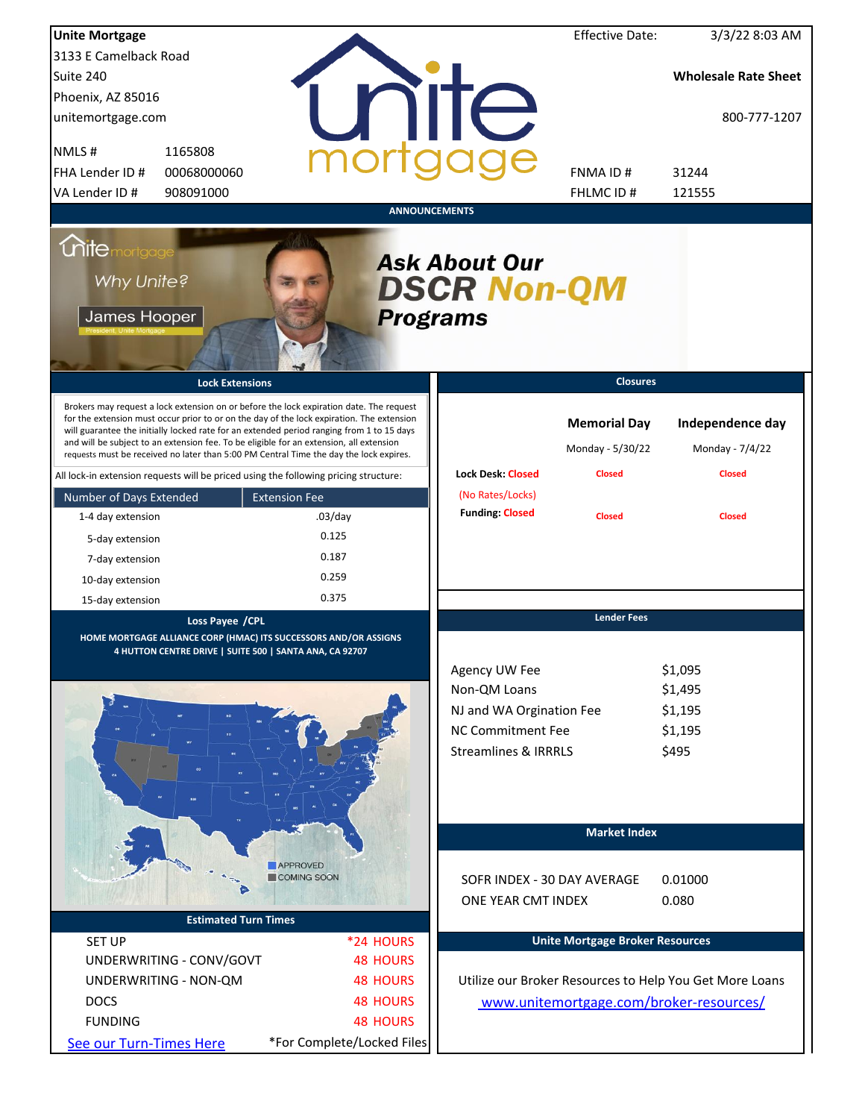| <b>Unite Mortgage</b>                                                                                                                                                                                                                                                                                                                                                                                                                                                  |                                                                             |                            |                                                                                                                          | <b>Effective Date:</b>                                   | 3/3/22 8:03 AM                                          |
|------------------------------------------------------------------------------------------------------------------------------------------------------------------------------------------------------------------------------------------------------------------------------------------------------------------------------------------------------------------------------------------------------------------------------------------------------------------------|-----------------------------------------------------------------------------|----------------------------|--------------------------------------------------------------------------------------------------------------------------|----------------------------------------------------------|---------------------------------------------------------|
| 3133 E Camelback Road                                                                                                                                                                                                                                                                                                                                                                                                                                                  |                                                                             |                            |                                                                                                                          |                                                          |                                                         |
| Suite 240                                                                                                                                                                                                                                                                                                                                                                                                                                                              |                                                                             |                            |                                                                                                                          |                                                          | <b>Wholesale Rate Sheet</b>                             |
| Phoenix, AZ 85016                                                                                                                                                                                                                                                                                                                                                                                                                                                      |                                                                             |                            |                                                                                                                          |                                                          |                                                         |
| unitemortgage.com                                                                                                                                                                                                                                                                                                                                                                                                                                                      |                                                                             |                            | <b>TITE</b>                                                                                                              |                                                          | 800-777-1207                                            |
| NMLS#<br>1165808                                                                                                                                                                                                                                                                                                                                                                                                                                                       |                                                                             |                            |                                                                                                                          |                                                          |                                                         |
| FHA Lender ID #<br>00068000060                                                                                                                                                                                                                                                                                                                                                                                                                                         |                                                                             |                            |                                                                                                                          | FNMA ID#                                                 | 31244                                                   |
| VA Lender ID #<br>908091000                                                                                                                                                                                                                                                                                                                                                                                                                                            |                                                                             |                            |                                                                                                                          | FHLMC ID#                                                | 121555                                                  |
|                                                                                                                                                                                                                                                                                                                                                                                                                                                                        |                                                                             | <b>ANNOUNCEMENTS</b>       |                                                                                                                          |                                                          |                                                         |
| <i><u><b>Chitemortgage</b></u></i><br>Why Unite?<br>James Hooper                                                                                                                                                                                                                                                                                                                                                                                                       |                                                                             | <b>Programs</b>            | <b>Ask About Our</b><br><b>DSCR Non-QM</b>                                                                               |                                                          |                                                         |
|                                                                                                                                                                                                                                                                                                                                                                                                                                                                        | <b>Lock Extensions</b>                                                      |                            |                                                                                                                          | <b>Closures</b>                                          |                                                         |
| Brokers may request a lock extension on or before the lock expiration date. The request<br>for the extension must occur prior to or on the day of the lock expiration. The extension<br>will guarantee the initially locked rate for an extended period ranging from 1 to 15 days<br>and will be subject to an extension fee. To be eligible for an extension, all extension<br>requests must be received no later than 5:00 PM Central Time the day the lock expires. |                                                                             |                            | <b>Lock Desk: Closed</b>                                                                                                 | <b>Memorial Day</b><br>Monday - 5/30/22<br><b>Closed</b> | Independence day<br>Monday - 7/4/22<br><b>Closed</b>    |
| All lock-in extension requests will be priced using the following pricing structure:                                                                                                                                                                                                                                                                                                                                                                                   |                                                                             |                            | (No Rates/Locks)                                                                                                         |                                                          |                                                         |
| Number of Days Extended                                                                                                                                                                                                                                                                                                                                                                                                                                                | <b>Extension Fee</b>                                                        |                            | <b>Funding: Closed</b>                                                                                                   |                                                          |                                                         |
| 1-4 day extension                                                                                                                                                                                                                                                                                                                                                                                                                                                      | $.03$ /day                                                                  |                            |                                                                                                                          | <b>Closed</b>                                            | <b>Closed</b>                                           |
| 5-day extension                                                                                                                                                                                                                                                                                                                                                                                                                                                        | 0.125                                                                       |                            |                                                                                                                          |                                                          |                                                         |
| 7-day extension                                                                                                                                                                                                                                                                                                                                                                                                                                                        | 0.187                                                                       |                            |                                                                                                                          |                                                          |                                                         |
| 10-day extension                                                                                                                                                                                                                                                                                                                                                                                                                                                       | 0.259                                                                       |                            |                                                                                                                          |                                                          |                                                         |
| 15-day extension                                                                                                                                                                                                                                                                                                                                                                                                                                                       | 0.375                                                                       |                            |                                                                                                                          |                                                          |                                                         |
| HOME MORTGAGE ALLIANCE CORP (HMAC) ITS SUCCESSORS AND/OR ASSIGNS                                                                                                                                                                                                                                                                                                                                                                                                       | Loss Payee / CPL<br>4 HUTTON CENTRE DRIVE   SUITE 500   SANTA ANA, CA 92707 |                            | Agency UW Fee<br>Non-QM Loans<br>NJ and WA Orgination Fee<br><b>NC Commitment Fee</b><br><b>Streamlines &amp; IRRRLS</b> | <b>Lender Fees</b>                                       | \$1,095<br>\$1,495<br>\$1,195<br>\$1,195<br>\$495       |
|                                                                                                                                                                                                                                                                                                                                                                                                                                                                        |                                                                             |                            |                                                                                                                          | <b>Market Index</b>                                      |                                                         |
|                                                                                                                                                                                                                                                                                                                                                                                                                                                                        | <b>APPROVED</b><br>COMING SOON                                              |                            | SOFR INDEX - 30 DAY AVERAGE<br>ONE YEAR CMT INDEX                                                                        |                                                          | 0.01000<br>0.080                                        |
|                                                                                                                                                                                                                                                                                                                                                                                                                                                                        | <b>Estimated Turn Times</b>                                                 |                            |                                                                                                                          |                                                          |                                                         |
| <b>SET UP</b>                                                                                                                                                                                                                                                                                                                                                                                                                                                          |                                                                             | *24 HOURS                  |                                                                                                                          | <b>Unite Mortgage Broker Resources</b>                   |                                                         |
| UNDERWRITING - CONV/GOVT                                                                                                                                                                                                                                                                                                                                                                                                                                               |                                                                             | <b>48 HOURS</b>            |                                                                                                                          |                                                          |                                                         |
| UNDERWRITING - NON-QM                                                                                                                                                                                                                                                                                                                                                                                                                                                  |                                                                             | <b>48 HOURS</b>            |                                                                                                                          |                                                          | Utilize our Broker Resources to Help You Get More Loans |
| <b>DOCS</b>                                                                                                                                                                                                                                                                                                                                                                                                                                                            |                                                                             | <b>48 HOURS</b>            |                                                                                                                          |                                                          | www.unitemortgage.com/broker-resources/                 |
| <b>FUNDING</b>                                                                                                                                                                                                                                                                                                                                                                                                                                                         |                                                                             | <b>48 HOURS</b>            |                                                                                                                          |                                                          |                                                         |
| See our Turn-Times Here                                                                                                                                                                                                                                                                                                                                                                                                                                                |                                                                             | *For Complete/Locked Files |                                                                                                                          |                                                          |                                                         |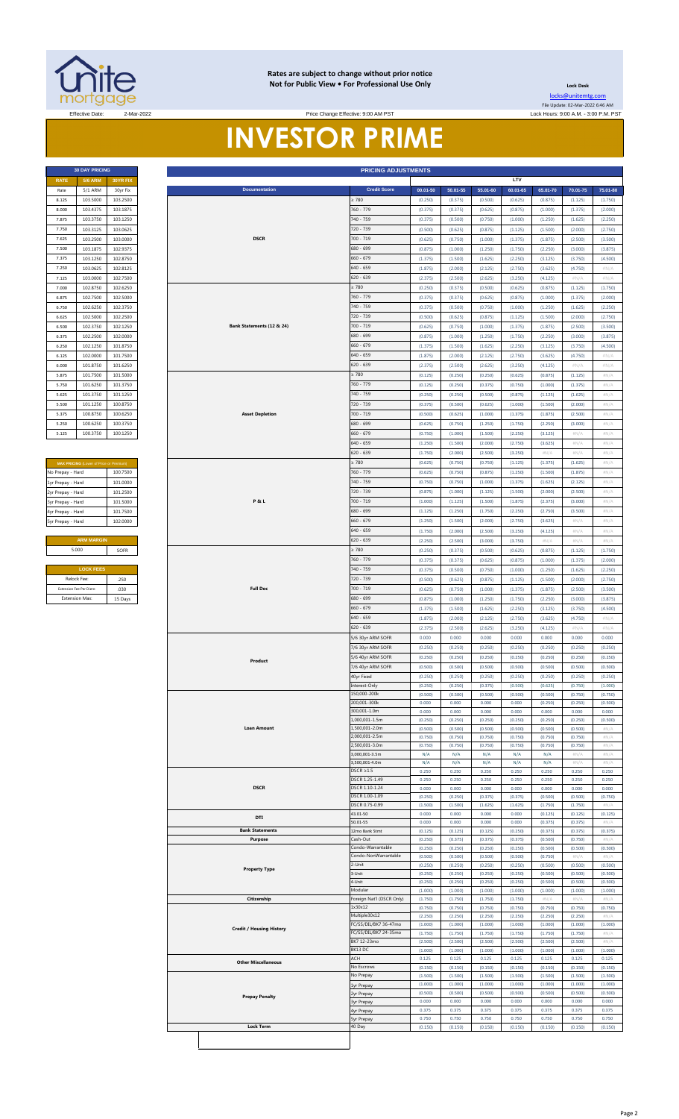

#### **Rates are subject to change without prior notice Not for Public View • For Professional Use Only**

**Lock Desk** [locks@unitemtg](mailto:locks@unitemtg.com).com File Update: 02-Mar-2022 6:46 AM

Effective: 9:00 AM PST Lock Hours: 9:00 A.M. - 3:00 P.M. PST Lock Hours: 9:00 A.M. - 3:00 P.M. PST

# **INVESTOR PRIME**

| <b>PRICING ADJUSTMENTS</b> |                           |          | <b>30 DAY PRICING</b> |             |
|----------------------------|---------------------------|----------|-----------------------|-------------|
|                            |                           | 30YR FIX | <b>5/6 ARM</b>        | <b>RATE</b> |
| <b>Credit Score</b>        | <b>Documentation</b>      | 30yr Fix | 5/1 ARM               | Rate        |
| $\geq 780$                 |                           | 103.2500 | 103,5000              | 8.125       |
| 760 - 779                  |                           | 103.1875 | 103.4375              | 8.000       |
| 740 - 759                  |                           | 103.1250 | 103.3750              | 7.875       |
| 720 - 739                  |                           | 103.0625 | 103.3125              | 7.750       |
| $700 - 719$                | <b>DSCR</b>               | 103.0000 | 103.2500              | 7.625       |
| $680 - 699$                |                           | 102.9375 | 103.1875              | 7.500       |
| $660 - 679$                |                           | 102.8750 | 103.1250              | 7.375       |
| $640 - 659$                |                           | 102.8125 | 103.0625              | 7.250       |
| $620 - 639$                |                           | 102.7500 | 103.0000              | 7.125       |
| $\geq 780$                 |                           | 102.6250 | 102.8750              | 7.000       |
| 760 - 779                  |                           | 102.5000 | 102.7500              | 6.875       |
| 740 - 759                  |                           | 102.3750 | 102.6250              | 6.750       |
| 720 - 739                  |                           | 102.2500 | 102.5000              | 6.625       |
| $700 - 719$                | Bank Statements (12 & 24) | 102.1250 | 102.3750              | 6.500       |
| $680 - 699$                |                           | 102.0000 | 102.2500              | 6.375       |
| $660 - 679$                |                           | 101.8750 | 102.1250              | 6.250       |
| $640 - 659$                |                           | 101.7500 | 102.0000              | 6.125       |
| $620 - 639$                |                           | 101.6250 | 101.8750              | 6.000       |
| $\geq 780$                 |                           | 101.5000 | 101.7500              | 5.875       |
| 760 - 779                  |                           | 101.3750 | 101.6250              | 5.750       |
| 740 - 759                  |                           | 101.1250 | 101.3750              | 5.625       |
| 720 - 739                  |                           | 100.8750 | 101.1250              | 5.500       |
| $700 - 719$                | <b>Asset Depletion</b>    | 100.6250 | 100.8750              | 5.375       |
| 680 - 699                  |                           | 100.3750 | 100.6250              | 5.250       |
| $660 - 679$                |                           | 100.1250 | 100.3750              | 5.125       |

| <b>MAX PRICING</b> (Lower of Price or Premium) |          |
|------------------------------------------------|----------|
| No Prepay - Hard                               | 100 7500 |
| 1yr Prepay - Hard                              | 101.0000 |
| 2yr Prepay - Hard                              | 101 2500 |
| 3yr Prepay - Hard                              | 101 5000 |
| 4yr Prepay - Hard                              | 101 7500 |
| 5yr Prepay - Hard                              | 102.0000 |
|                                                |          |
| <b>ARM MARGIN</b>                              |          |
| 5.000                                          | SOFR     |
|                                                |          |
| <b>LOCK FEES</b>                               |          |
| Relock Fee:                                    | 250      |
| Extension Fee Per Diem:                        | 030      |
| <b>Extension Max:</b>                          | 15 Days  |

| Rate<br>8.125<br>8.000                  |                   | 30YR FIX |
|-----------------------------------------|-------------------|----------|
|                                         | 5/1 ARM           | 30yr Fix |
|                                         | 103.5000          | 103.2500 |
|                                         | 103.4375          | 103.1875 |
| 7.875                                   | 103.3750          | 103.1250 |
| 7.750                                   | 103.3125          | 103.0625 |
| 7.625                                   | 103.2500          | 103.0000 |
| 7.500                                   | 103.1875          | 102.9375 |
| 7.375                                   | 103.1250          | 102.8750 |
| 7.250                                   | 103.0625          | 102.8125 |
| 7.125                                   | 103.0000          | 102.7500 |
| 7.000                                   | 102.8750          | 102.6250 |
| 6.875                                   | 102.7500          | 102.5000 |
| 6.750                                   | 102.6250          | 102.3750 |
| 6.625                                   | 102.5000          | 102.2500 |
| 6.500                                   | 102.3750          | 102.1250 |
| 6.375                                   | 102.2500          | 102.0000 |
| 6.250                                   | 102.1250          | 101.8750 |
| 6.125                                   | 102.0000          | 101.7500 |
| 6.000                                   | 101.8750          | 101.6250 |
| 5.875                                   | 101.7500          | 101.5000 |
|                                         |                   |          |
| 5.750                                   | 101.6250          | 101.3750 |
| 5.625                                   | 101.3750          | 101.1250 |
| 5.500                                   | 101.1250          | 100.8750 |
| 5.375                                   | 100.8750          | 100.6250 |
| 5.250                                   | 100.6250          | 100.3750 |
| 5.125                                   | 100.3750          | 100.1250 |
|                                         |                   |          |
|                                         |                   |          |
| MAX PRICING (Lower of Price or Premium) |                   |          |
| No Prepay - Hard                        |                   | 100.7500 |
| 1yr Prepay - Hard                       |                   | 101.0000 |
| 2yr Prepay - Hard                       |                   | 101.2500 |
| 3yr Prepay - Hard                       |                   | 101.5000 |
| 4yr Prepay - Hard                       |                   | 101.7500 |
| 5yr Prepay - Hard                       |                   | 102.0000 |
|                                         |                   |          |
|                                         | <b>ARM MARGIN</b> |          |
| 5.000                                   |                   | SOFR     |
|                                         |                   |          |
|                                         | <b>LOCK FEES</b>  |          |
| Relock Fee:                             |                   | .250     |
| Extension Fee Per Diem:                 |                   | .030     |
| <b>Extension Max:</b>                   |                   | 15 Days  |
|                                         |                   |          |
|                                         |                   |          |
|                                         |                   |          |
|                                         |                   |          |
|                                         |                   |          |
|                                         |                   |          |
|                                         |                   |          |
|                                         |                   |          |
|                                         |                   |          |
|                                         |                   |          |
|                                         |                   |          |
|                                         |                   |          |
|                                         |                   |          |
|                                         |                   |          |
|                                         |                   |          |
|                                         |                   |          |
|                                         |                   |          |
|                                         |                   |          |
|                                         |                   |          |
|                                         |                   |          |
|                                         |                   |          |
|                                         |                   |          |
|                                         |                   |          |
|                                         |                   |          |
|                                         |                   |          |
|                                         |                   |          |
|                                         |                   |          |
|                                         |                   |          |
|                                         |                   |          |
|                                         |                   |          |
|                                         |                   |          |
|                                         |                   |          |
|                                         |                   |          |
|                                         |                   |          |
|                                         |                   |          |
|                                         |                   |          |
|                                         |                   |          |
|                                         |                   |          |
|                                         |                   |          |
|                                         |                   |          |
|                                         |                   |          |
|                                         |                   |          |
|                                         |                   |          |
|                                         |                   |          |
|                                         |                   |          |
|                                         |                   |          |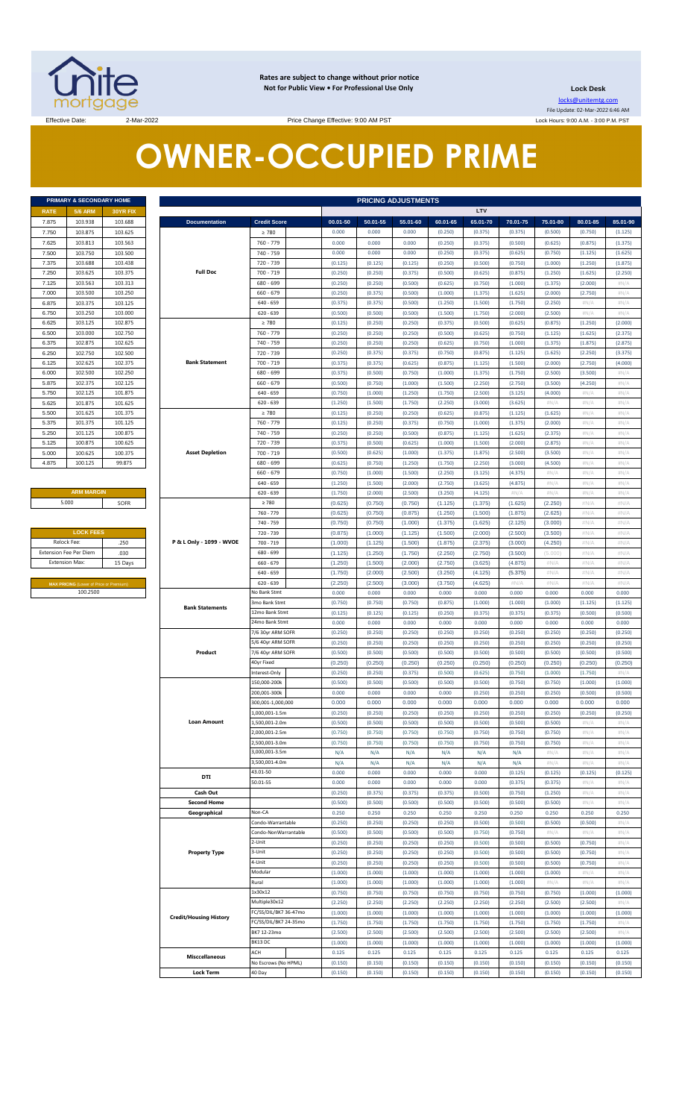

**Rates are subject to change without prior notice Not for Public View • For Professional Use Only** 

**Lock Desk**

locks@unitemtg.com File Update: 02-Mar-2022 6:46 AM Lock Hours: 9:00 A.M. - 3:00 P.M. PST

Effective Date: 2-Mar-2022 2-Mar-2022 Price Change Effective: 9:00 AM PST

# **OWNER-OCCUPIED PRIME**

| PRIMARY & SECONDARY HOME |                |          |  |  |  |  |  |  |  |  |
|--------------------------|----------------|----------|--|--|--|--|--|--|--|--|
| <b>RATE</b>              | <b>5/6 ARM</b> | 30YR FIX |  |  |  |  |  |  |  |  |
| 7.875                    | 103.938        | 103.688  |  |  |  |  |  |  |  |  |
| 7.750                    | 103.875        | 103.625  |  |  |  |  |  |  |  |  |
| 7.625                    | 103.813        | 103.563  |  |  |  |  |  |  |  |  |
| 7.500                    | 103.750        | 103.500  |  |  |  |  |  |  |  |  |
| 7.375                    | 103.688        | 103.438  |  |  |  |  |  |  |  |  |
| 7.250                    | 103.625        | 103.375  |  |  |  |  |  |  |  |  |
| 7.125                    | 103.563        | 103 313  |  |  |  |  |  |  |  |  |
| 7.000                    | 103.500        | 103.250  |  |  |  |  |  |  |  |  |
| 6.875                    | 103.375        | 103.125  |  |  |  |  |  |  |  |  |
| 6.750                    | 103.250        | 103.000  |  |  |  |  |  |  |  |  |
| 6.625                    | 103.125        | 102.875  |  |  |  |  |  |  |  |  |
| 6.500                    | 103.000        | 102.750  |  |  |  |  |  |  |  |  |
| 6.375                    | 102.875        | 102.625  |  |  |  |  |  |  |  |  |
| 6.250                    | 102.750        | 102.500  |  |  |  |  |  |  |  |  |
| 6.125                    | 102.625        | 102.375  |  |  |  |  |  |  |  |  |
| 6.000                    | 102.500        | 102.250  |  |  |  |  |  |  |  |  |
| 5.875                    | 102.375        | 102.125  |  |  |  |  |  |  |  |  |
| 5.750                    | 102.125        | 101.875  |  |  |  |  |  |  |  |  |
| 5.625                    | 101.875        | 101.625  |  |  |  |  |  |  |  |  |
| 5.500                    | 101.625        | 101.375  |  |  |  |  |  |  |  |  |
| 5.375                    | 101.375        | 101.125  |  |  |  |  |  |  |  |  |
| 5.250                    | 101.125        | 100.875  |  |  |  |  |  |  |  |  |
| 5.125                    | 100.875        | 100.625  |  |  |  |  |  |  |  |  |
| 5.000                    | 100.625        | 100.375  |  |  |  |  |  |  |  |  |
| 4.875                    | 100.125        | 99.875   |  |  |  |  |  |  |  |  |

| <b>ARM MARGIN</b> |      |  |  |  |  |  |  |  |  |
|-------------------|------|--|--|--|--|--|--|--|--|
| 5.000             | SOFR |  |  |  |  |  |  |  |  |

| <b>LOCK FEES</b>                               |         |
|------------------------------------------------|---------|
| Relock Fee:                                    | .250    |
| <b>Extension Fee Per Diem</b>                  | .030    |
| <b>Extension Max:</b>                          | 15 Days |
|                                                |         |
| <b>MAX PRICING (Lower of Price or Premium)</b> |         |
| 100.2500                                       |         |

|                | PRIMARY & SECONDARY HOME                       |                    |                               |                                  | <b>PRICING ADJUSTMENTS</b> |                    |                    |                    |                    |                    |                    |                    |                  |
|----------------|------------------------------------------------|--------------------|-------------------------------|----------------------------------|----------------------------|--------------------|--------------------|--------------------|--------------------|--------------------|--------------------|--------------------|------------------|
| RATE           | <b>5/6 ARM</b>                                 | 30YR FIX           |                               |                                  |                            |                    |                    |                    | LTV                |                    |                    |                    |                  |
| 7.875          | 103.938                                        | 103.688            | <b>Documentation</b>          | <b>Credit Score</b>              | 00.01-50                   | 50.01-55           | 55.01-60           | 60.01-65           | 65.01-70           | 70.01-75           | 75.01-80           | 80.01-85           | 85.01-90         |
| 7.750          | 103.875                                        | 103.625            |                               | $\geq 780$                       | 0.000                      | 0.000              | 0.000              | (0.250)            | (0.375)            | (0.375)            | (0.500)            | (0.750)            | (1.125)          |
| 7.625          | 103.813                                        | 103.563            |                               | 760 - 779                        | 0.000                      | 0.000              | 0.000              | (0.250)            | (0.375)            | (0.500)            | (0.625)            | (0.875)            | (1.375)          |
| 7.500          | 103.750                                        | 103.500            |                               | 740 - 759                        | 0.000                      | 0.000              | 0.000              | (0.250)            | (0.375)            | (0.625)            | (0.750)            | (1.125)            | (1.625)          |
| 7.375          | 103.688                                        | 103.438            |                               | 720 - 739                        | (0.125)                    | (0.125)            | (0.125)            | (0.250)            | (0.500)            | (0.750)            | (1.000)            | (1.250)            | (1.875)          |
| 7.250          | 103.625                                        | 103.375            | <b>Full Doc</b>               | $700 - 719$                      | (0.250)                    | (0.250)            | (0.375)            | (0.500)            | (0.625)            | (0.875)            | (1.250)            | (1.625)            | (2.250)          |
| 7.125          | 103.563                                        | 103.313            |                               | 680 - 699                        | (0.250)                    | (0.250)            | (0.500)            | (0.625)            | (0.750)            | (1.000)            | (1.375)            | (2.000)            | #N/A             |
| 7.000          | 103.500                                        | 103.250            |                               | $660 - 679$                      | (0.250)                    | (0.375)            | (0.500)            | (1.000)            | (1.375)            | (1.625)            | (2.000)            | (2.750)            | $\#N/A$          |
| 6.875          | 103.375                                        | 103.125            |                               | $640 - 659$                      | (0.375)                    | (0.375)            | (0.500)            | (1.250)            | (1.500)            | (1.750)            | (2.250)            | $\#N/A$            | H N/A            |
| 6.750<br>6.625 | 103.250<br>103.125                             | 103.000<br>102.875 |                               | $620 - 639$<br>$\geq 780$        | (0.500)<br>(0.125)         | (0.500)<br>(0.250) | (0.500)<br>(0.250) | (1.500)<br>(0.375) | (1.750)<br>(0.500) | (2.000)<br>(0.625) | (2.500)<br>(0.875) | #N/A<br>(1.250)    | H N/A<br>(2.000) |
| 6.500          | 103,000                                        | 102.750            |                               | 760 - 779                        | (0.250)                    | (0.250)            | (0.250)            | (0.500)            | (0.625)            | (0.750)            | (1.125)            | (1.625)            | (2.375)          |
| 6.375          | 102.875                                        | 102.625            |                               | 740 - 759                        | (0.250)                    | (0.250)            | (0.250)            | (0.625)            | (0.750)            | (1.000)            | (1.375)            | (1.875)            | (2.875)          |
| 6.250          | 102.750                                        | 102.500            |                               | 720 - 739                        | (0.250)                    | (0.375)            | (0.375)            | (0.750)            | (0.875)            | (1.125)            | (1.625)            | (2.250)            | (3.375)          |
| 6.125          | 102.625                                        | 102.375            | <b>Bank Statement</b>         | $700 - 719$                      | (0.375)                    | (0.375)            | (0.625)            | (0.875)            | (1.125)            | (1.500)            | (2.000)            | (2.750)            | (4.000)          |
| 6.000          | 102.500                                        | 102.250            |                               | 680 - 699                        | (0.375)                    | (0.500)            | (0.750)            | (1.000)            | (1.375)            | (1.750)            | (2.500)            | (3.500)            | #N/A             |
| 5.875          | 102.375                                        | 102.125            |                               | $660 - 679$                      | (0.500)                    | (0.750)            | (1.000)            | (1.500)            | (2.250)            | (2.750)            | (3.500)            | (4.250)            | #N/A             |
| 5.750          | 102.125                                        | 101.875            |                               | $640 - 659$                      | (0.750)                    | (1.000)            | (1.250)            | (1.750)            | (2.500)            | (3.125)            | (4.000)            | #N/A               | #N/A             |
| 5.625          | 101.875                                        | 101.625            |                               | $620 - 639$                      | (1.250)                    | (1.500)            | (1.750)            | (2.250)            | (3.000)            | (3.625)            | $\#N/A$            | H N/A              | #N/A             |
| 5.500          | 101.625                                        | 101.375            |                               | $\geq 780$                       | (0.125)                    | (0.250)            | (0.250)            | (0.625)            | (0.875)            | (1.125)            | (1.625)            | #N/A               | #N/A             |
| 5.375          | 101.375                                        | 101.125            |                               | 760 - 779                        | (0.125)                    | (0.250)            | (0.375)            | (0.750)            | (1.000)            | (1.375)            | (2.000)            | $\#N/A$            | #N/A             |
| 5.250          | 101.125                                        | 100.875            |                               | 740 - 759                        | (0.250)                    | (0.250)            | (0.500)            | (0.875)            | (1.125)            | (1.625)            | (2.375)            | #N/A               | H N/A            |
| 5.125          | 100.875                                        | 100.625            |                               | 720 - 739                        | (0.375)                    | (0.500)            | (0.625)            | (1.000)            | (1.500)            | (2.000)            | (2.875)            | $\#N/A$            | #N/A             |
| 5.000          | 100.625                                        | 100.375            | <b>Asset Depletion</b>        | $700 - 719$                      | (0.500)                    | (0.625)            | (1.000)            | (1.375)            | (1.875)            | (2.500)            | (3.500)            | #N/A               | H N/A            |
| 4.875          | 100.125                                        | 99.875             |                               | 680 - 699<br>$660 - 679$         | (0.625)                    | (0.750)            | (1.250)            | (1.750)            | (2.250)            | (3.000)            | (4.500)            | $\#N/A$            | H N/A            |
|                |                                                |                    |                               | $640 - 659$                      | (0.750)<br>(1.250)         | (1.000)<br>(1.500) | (1.500)<br>(2.000) | (2.250)<br>(2.750) | (3.125)<br>(3.625) | (4.375)<br>(4.875) | H N/A<br>H N/A     | #N/A<br>$\#N/A$    | H N/A<br>H N/A   |
|                | <b>ARM MARGIN</b>                              |                    |                               | $620 - 639$                      | (1.750)                    | (2.000)            | (2.500)            | (3.250)            | (4.125)            | #N/A               | H N/A              | #N/A               | H N/A            |
|                | 5.000                                          | SOFR               |                               | $\geq 780$                       | (0.625)                    | (0.750)            | (0.750)            | (1.125)            | (1.375)            | (1.625)            | (2.250)            | $\#N/A$            | #N/A             |
|                |                                                |                    |                               | 760 - 779                        | (0.625)                    | (0.750)            | (0.875)            | (1.250)            | (1.500)            | (1.875)            | (2.625)            | #N/A               | #N/A             |
|                |                                                |                    |                               | 740 - 759                        | (0.750)                    | (0.750)            | (1.000)            | (1.375)            | (1.625)            | (2.125)            | (3.000)            | #N/A               | #N/A             |
|                | <b>LOCK FEES</b>                               |                    |                               | 720 - 739                        | (0.875)                    | (1.000)            | (1.125)            | (1.500)            | (2.000)            | (2.500)            | (3.500)            | #N/A               | #N/A             |
|                | Relock Fee:                                    | .250               | P & L Only - 1099 - WVOE      | 700 - 719                        | (1.000)                    | (1.125)            | (1.500)            | (1.875)            | (2.375)            | (3.000)            | (4.250)            | #N/A               | #N/A             |
|                | xtension Fee Per Diem                          | .030               |                               | 680 - 699                        | (1.125)                    | (1.250)            | (1.750)            | (2.250)            | (2.750)            | (3.500)            | (5.000)            | #N/A               | #N/A             |
|                | <b>Extension Max:</b>                          | 15 Days            |                               | $660 - 679$                      | (1.250)                    | (1.500)            | (2.000)            | (2.750)            | (3.625)            | (4.875)            | #N/A               | #N/A               | #N/A             |
|                |                                                |                    |                               | $640 - 659$                      | (1.750)                    | (2.000)            | (2.500)            | (3.250)            | (4.125)            | (5.375)            | #N/A               | #N/A<br>$\#N/A$    | #N/A             |
|                | <b>MAX PRICING</b> (Lower of Price or Premium) |                    |                               | $620 - 639$                      |                            |                    |                    |                    |                    |                    |                    |                    | #N/A             |
|                |                                                |                    |                               |                                  | (2.250)                    | (2.500)            | (3.000)            | (3.750)            | (4.625)            | #N/A               | #N/A               |                    |                  |
|                | 100.2500                                       |                    |                               | <b>Vo Bank Stmt</b>              | 0.000                      | 0.000              | 0.000              | 0.000              | 0.000              | 0.000              | 0.000              | 0.000              | 0.000            |
|                |                                                |                    | <b>Bank Statements</b>        | 3mo Bank Stmt<br>12mo Bank Stmt  | (0.750)                    | (0.750)            | (0.750)            | (0.875)            | (1.000)            | (1.000)            | (1.000)            | (1.125)            | (1.125)          |
|                |                                                |                    |                               | 24mo Bank Stmt                   | (0.125)<br>0.000           | (0.125)<br>0.000   | (0.125)<br>0.000   | (0.250)<br>0.000   | (0.375)<br>0.000   | (0.375)<br>0.000   | (0.375)<br>0.000   | (0.500)<br>0.000   | (0.500)<br>0.000 |
|                |                                                |                    |                               | 7/6 30yr ARM SOFR                | (0.250)                    | (0.250)            | (0.250)            | (0.250)            | (0.250)            | (0.250)            | (0.250)            | (0.250)            | (0.250)          |
|                |                                                |                    |                               | 5/6 40yr ARM SOFR                | (0.250)                    | (0.250)            | (0.250)            | (0.250)            | (0.250)            | (0.250)            | (0.250)            | (0.250)            | (0.250)          |
|                |                                                |                    | Product                       | 7/6 40yr ARM SOFR                | (0.500)                    | (0.500)            | (0.500)            | (0.500)            | (0.500)            | (0.500)            | (0.500)            | (0.500)            | (0.500)          |
|                |                                                |                    |                               | 40yr Fixed                       | (0.250)                    | (0.250)            | (0.250)            | (0.250)            | (0.250)            | (0.250)            | (0.250)            | (0.250)            | (0.250)          |
|                |                                                |                    |                               | nterest-Only                     | (0.250)                    | (0.250)            | (0.375)            | (0.500)            | (0.625)            | (0.750)            | (1.000)            | (1.750)            | H N/A            |
|                |                                                |                    |                               | 150,000-200k                     | (0.500)                    | (0.500)            | (0.500)            | (0.500)            | (0.500)            | (0.750)            | (0.750)            | (1.000)            | (1.000)          |
|                |                                                |                    |                               | 200,001-300k                     | 0.000                      | 0.000              | 0.000              | 0.000              | (0.250)            | (0.250)            | (0.250)            | (0.500)            | (0.500)          |
|                |                                                |                    |                               | 300,001-1,000,000                | 0.000                      | 0.000              | 0.000              | 0.000              | 0.000              | 0.000              | 0.000              | 0.000              | 0.000            |
|                |                                                |                    |                               | ,000,001-1.5m                    | (0.250)                    | (0.250)            | (0.250)            | (0.250)            | (0.250)            | (0.250)            | (0.250)            | (0.250)            | (0.250)          |
|                |                                                |                    | <b>Loan Amount</b>            | 1,500,001-2.0m<br>2,000,001-2.5m | (0.500)                    | (0.500)            | (0.500)            | (0.500)            | (0.500)            | (0.500)            | (0.500)            | $\#N/A$<br>#N/A    | #N/A<br>#N/A     |
|                |                                                |                    |                               | 2,500,001-3.0m                   | (0.750)<br>(0.750)         | (0.750)<br>(0.750) | (0.750)<br>(0.750) | (0.750)<br>(0.750) | (0.750)<br>(0.750) | (0.750)<br>(0.750) | (0.750)<br>(0.750) | $\#N/A$            | #N/A             |
|                |                                                |                    |                               | 3,000,001-3.5m                   | N/A                        | N/A                | N/A                | N/A                | N/A                | N/A                | #N/A               | $\#N/A$            | #N/A             |
|                |                                                |                    |                               | 3,500,001-4.0m                   | N/A                        | N/A                | N/A                | N/A                | N/A                | N/A                | $\#N/A$            | $\#N/A$            | #N/A             |
|                |                                                |                    | DTI                           | 43.01-50                         | 0.000                      | 0.000              | 0.000              | 0.000              | 0.000              | (0.125)            | (0.125)            | (0.125)            | (0.125)          |
|                |                                                |                    |                               | 50.01-55                         | 0.000                      | 0.000              | 0.000              | 0.000              | 0.000              | (0.375)            | (0.375)            | $\#N/A$            | #N/A             |
|                |                                                |                    | Cash Out                      |                                  | (0.250)                    | (0.375)            | (0.375)            | (0.375)            | (0.500)            | (0.750)            | (1.250)            | $\#N/A$            | #N/A             |
|                |                                                |                    | <b>Second Home</b>            |                                  | (0.500)                    | (0.500)            | (0.500)            | (0.500)            | (0.500)            | (0.500)            | (0.500)            | $\#N/A$            | #N/A             |
|                |                                                |                    | Geographical                  | Non-CA                           | 0.250                      | 0.250              | 0.250              | 0.250              | 0.250              | 0.250              | 0.250              | 0.250              | 0.250            |
|                |                                                |                    |                               | Condo-Warrantable                | (0.250)                    | (0.250)            | (0.250)            | (0.250)            | (0.500)            | (0.500)            | (0.500)            | (0.500)            | #N/A             |
|                |                                                |                    |                               | Condo-NonWarrantable<br>2-Unit   | (0.500)                    | (0.500)            | (0.500)            | (0.500)            | (0.750)            | (0.750)            | #N/A               | $\#N/A$            | #N/A             |
|                |                                                |                    | <b>Property Type</b>          | 3-Unit                           | (0.250)<br>(0.250)         | (0.250)<br>(0.250) | (0.250)<br>(0.250) | (0.250)<br>(0.250) | (0.500)<br>(0.500) | (0.500)<br>(0.500) | (0.500)<br>(0.500) | (0.750)<br>(0.750) | #N/A<br>#N/A     |
|                |                                                |                    |                               | 4-Unit                           | (0.250)                    | (0.250)            | (0.250)            | (0.250)            | (0.500)            | (0.500)            | (0.500)            | (0.750)            | #N/A             |
|                |                                                |                    |                               | Modular                          | (1.000)                    | (1.000)            | (1.000)            | (1.000)            | (1.000)            | (1.000)            | (1.000)            | $\#N/A$            | #N/A             |
|                |                                                |                    |                               | Rural                            | (1.000)                    | (1.000)            | (1.000)            | (1.000)            | (1.000)            | (1.000)            | #N/A               | $\#N/A$            | #N/A             |
|                |                                                |                    |                               | 1x30x12                          | (0.750)                    | (0.750)            | (0.750)            | (0.750)            | (0.750)            | (0.750)            | (0.750)            | (1.000)            | (1.000)          |
|                |                                                |                    |                               | Multiple30x12                    | (2.250)                    | (2.250)            | (2.250)            | (2.250)            | (2.250)            | (2.250)            | (2.500)            | (2.500)            | #N/A             |
|                |                                                |                    | <b>Credit/Housing History</b> | C/SS/DIL/BK7 36-47mo             | (1.000)                    | (1.000)            | (1.000)            | (1.000)            | (1.000)            | (1.000)            | (1.000)            | (1.000)            | (1.000)          |
|                |                                                |                    |                               | FC/SS/DIL/BK7 24-35mo            | (1.750)                    | (1.750)            | (1.750)            | (1.750)            | (1.750)            | (1.750)            | (1.750)            | (1.750)            | #N/A             |
|                |                                                |                    |                               | BK7 12-23mo                      | (2.500)                    | (2.500)            | (2.500)            | (2.500)            | (2.500)            | (2.500)            | (2.500)            | (2.500)            | #N/A             |
|                |                                                |                    |                               | BK13 DC<br>ACH                   | (1.000)<br>0.125           | (1.000)<br>0.125   | (1.000)<br>0.125   | (1.000)<br>0.125   | (1.000)<br>0.125   | (1.000)<br>0.125   | (1.000)<br>0.125   | (1.000)<br>0.125   | (1.000)<br>0.125 |
|                |                                                |                    | <b>Misccellaneous</b>         | No Escrows (No HPML)             | (0.150)                    | (0.150)            | (0.150)            | (0.150)            | (0.150)            | (0.150)            | (0.150)            | (0.150)            | (0.150)          |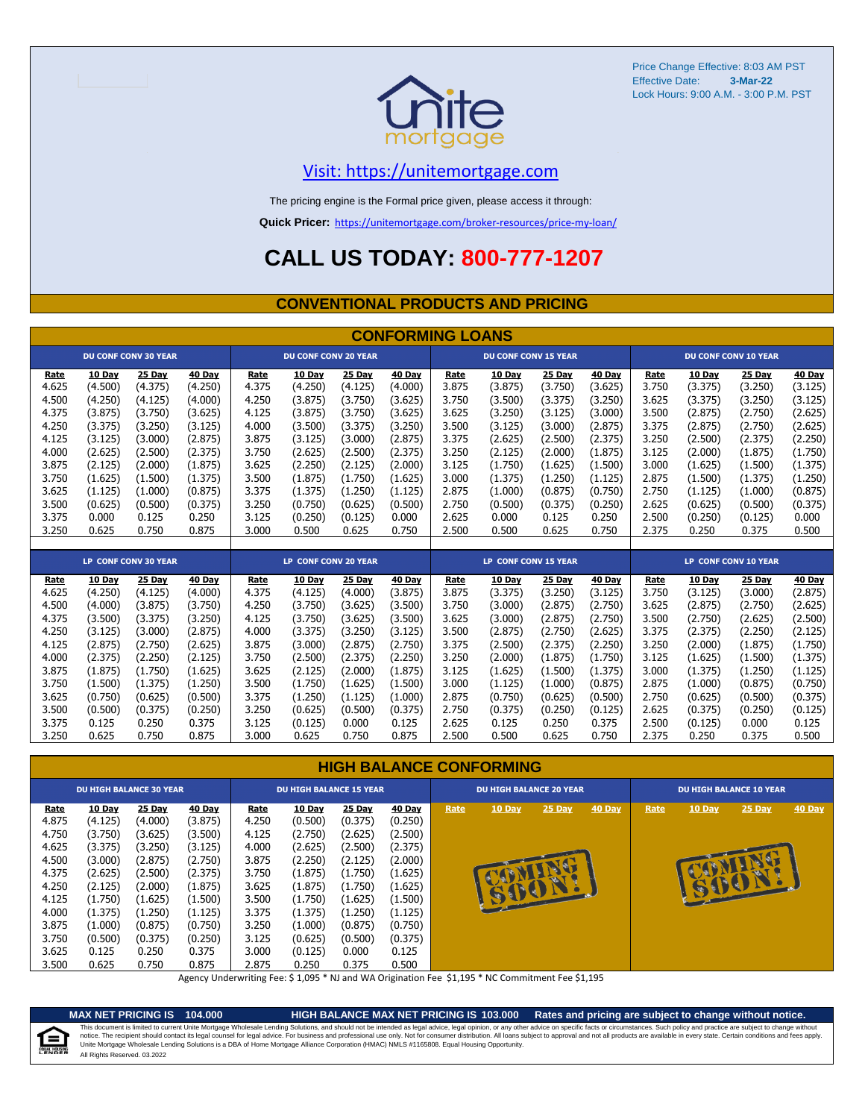

### [V](https://unitemortgage.com/)isit: https://unitemortgage.com

The pricing engine is the Formal price given, please access it through:

**Quick Pricer:** [https://un](https://unitemortgage.com/broker-resources/price-my-loan/)itemortgage.com/broker-resources/price-my-loan/

## **CALL US TODAY: 800-777-1207**

#### **CONVENTIONAL PRODUCTS AND PRICING**

|       | <b>CONFORMING LOANS</b> |                             |         |       |                             |         |         |                             |                      |         |         |       |                             |                      |         |  |
|-------|-------------------------|-----------------------------|---------|-------|-----------------------------|---------|---------|-----------------------------|----------------------|---------|---------|-------|-----------------------------|----------------------|---------|--|
|       |                         | <b>DU CONF CONV 30 YEAR</b> |         |       | <b>DU CONF CONV 20 YEAR</b> |         |         | <b>DU CONF CONV 15 YEAR</b> |                      |         |         |       | <b>DU CONF CONV 10 YEAR</b> |                      |         |  |
| Rate  | 10 Day                  | 25 Day                      | 40 Day  | Rate  | 10 Day                      | 25 Day  | 40 Day  | Rate                        | 10 Day               | 25 Day  | 40 Day  | Rate  | 10 Day                      | 25 Day               | 40 Day  |  |
| 4.625 | (4.500)                 | (4.375)                     | (4.250) | 4.375 | (4.250)                     | (4.125) | (4.000) | 3.875                       | (3.875)              | (3.750) | (3.625) | 3.750 | (3.375)                     | (3.250)              | (3.125) |  |
| 4.500 | (4.250)                 | (4.125)                     | (4.000) | 4.250 | (3.875)                     | (3.750) | (3.625) | 3.750                       | (3.500)              | (3.375) | (3.250) | 3.625 | (3.375)                     | (3.250)              | (3.125) |  |
| 4.375 | (3.875)                 | (3.750)                     | (3.625) | 4.125 | (3.875)                     | (3.750) | (3.625) | 3.625                       | (3.250)              | (3.125) | (3.000) | 3.500 | (2.875)                     | (2.750)              | (2.625) |  |
| 4.250 | (3.375)                 | (3.250)                     | (3.125) | 4.000 | (3.500)                     | (3.375) | (3.250) | 3.500                       | (3.125)              | (3.000) | (2.875) | 3.375 | (2.875)                     | (2.750)              | (2.625) |  |
| 4.125 | (3.125)                 | (3.000)                     | (2.875) | 3.875 | (3.125)                     | (3.000) | (2.875) | 3.375                       | (2.625)              | (2.500) | (2.375) | 3.250 | (2.500)                     | (2.375)              | (2.250) |  |
| 4.000 | (2.625)                 | (2.500)                     | (2.375) | 3.750 | (2.625)                     | (2.500) | (2.375) | 3.250                       | (2.125)              | (2.000) | (1.875) | 3.125 | (2.000)                     | (1.875)              | (1.750) |  |
| 3.875 | (2.125)                 | (2.000)                     | (1.875) | 3.625 | (2.250)                     | (2.125) | (2.000) | 3.125                       | (1.750)              | (1.625) | (1.500) | 3.000 | (1.625)                     | (1.500)              | (1.375) |  |
| 3.750 | (1.625)                 | (1.500)                     | (1.375) | 3.500 | (1.875)                     | (1.750) | (1.625) | 3.000                       | (1.375)              | (1.250) | (1.125) | 2.875 | (1.500)                     | (1.375)              | (1.250) |  |
| 3.625 | (1.125)                 | (1.000)                     | (0.875) | 3.375 | (1.375)                     | (1.250) | (1.125) | 2.875                       | (1.000)              | (0.875) | (0.750) | 2.750 | (1.125)                     | (1.000)              | (0.875) |  |
| 3.500 | (0.625)                 | (0.500)                     | (0.375) | 3.250 | (0.750)                     | (0.625) | (0.500) | 2.750                       | (0.500)              | (0.375) | (0.250) | 2.625 | (0.625)                     | (0.500)              | (0.375) |  |
| 3.375 | 0.000                   | 0.125                       | 0.250   | 3.125 | (0.250)                     | (0.125) | 0.000   | 2.625                       | 0.000                | 0.125   | 0.250   | 2.500 | (0.250)                     | (0.125)              | 0.000   |  |
| 3.250 | 0.625                   | 0.750                       | 0.875   | 3.000 | 0.500                       | 0.625   | 0.750   | 2.500                       | 0.500                | 0.625   | 0.750   | 2.375 | 0.250                       | 0.375                | 0.500   |  |
|       |                         |                             |         |       |                             |         |         |                             |                      |         |         |       |                             |                      |         |  |
|       |                         | LP CONF CONV 30 YEAR        |         |       | LP CONF CONV 20 YEAR        |         |         |                             | LP CONF CONV 15 YEAR |         |         |       |                             | LP CONF CONV 10 YEAR |         |  |
| Rate  | 10 Day                  | 25 Day                      | 40 Day  | Rate  | 10 Day                      | 25 Day  | 40 Day  | Rate                        | 10 Day               | 25 Day  | 40 Day  | Rate  | <b>10 Day</b>               | 25 Day               | 40 Day  |  |
| 4.625 | (4.250)                 | (4.125)                     | (4.000) | 4.375 | (4.125)                     | (4.000) | (3.875) | 3.875                       | (3.375)              | (3.250) | (3.125) | 3.750 | (3.125)                     | (3.000)              | (2.875) |  |
| 4.500 | (4.000)                 | (3.875)                     | (3.750) | 4.250 | (3.750)                     | (3.625) | (3.500) | 3.750                       | (3.000)              | (2.875) | (2.750) | 3.625 | (2.875)                     | (2.750)              | (2.625) |  |
| 4.375 | (3.500)                 | (3.375)                     | (3.250) | 4.125 | (3.750)                     | (3.625) | (3.500) | 3.625                       | (3.000)              | (2.875) | (2.750) | 3.500 | (2.750)                     | (2.625)              | (2.500) |  |
| 4.250 | (3.125)                 | (3.000)                     | (2.875) | 4.000 | (3.375)                     | (3.250) | (3.125) | 3.500                       | (2.875)              | (2.750) | (2.625) | 3.375 | (2.375)                     | (2.250)              | (2.125) |  |
| 4.125 | (2.875)                 | (2.750)                     | (2.625) | 3.875 | (3.000)                     | (2.875) | (2.750) | 3.375                       | (2.500)              | (2.375) | (2.250) | 3.250 | (2.000)                     | (1.875)              | (1.750) |  |
| 4.000 | (2.375)                 | (2.250)                     | (2.125) | 3.750 | (2.500)                     | (2.375) | (2.250) | 3.250                       | (2.000)              | (1.875) | (1.750) | 3.125 | (1.625)                     | (1.500)              | (1.375) |  |
| 3.875 | (1.875)                 | (1.750)                     | (1.625) | 3.625 | (2.125)                     | (2.000) | (1.875) | 3.125                       | (1.625)              | (1.500) | (1.375) | 3.000 | (1.375)                     | (1.250)              | (1.125) |  |
| 3.750 | (1.500)                 | (1.375)                     | (1.250) | 3.500 | (1.750)                     | (1.625) | (1.500) | 3.000                       | (1.125)              | (1.000) | (0.875) | 2.875 | (1.000)                     | (0.875)              | (0.750) |  |
| 3.625 | (0.750)                 | (0.625)                     | (0.500) | 3.375 | (1.250)                     | (1.125) | (1.000) | 2.875                       | (0.750)              | (0.625) | (0.500) | 2.750 | (0.625)                     | (0.500)              | (0.375) |  |
| 3.500 | (0.500)                 | (0.375)                     | (0.250) | 3.250 | (0.625)                     | (0.500) | (0.375) | 2.750                       | (0.375)              | (0.250) | (0.125) | 2.625 | (0.375)                     | (0.250)              | (0.125) |  |
| 3.375 | 0.125                   | 0.250                       | 0.375   | 3.125 | (0.125)                     | 0.000   | 0.125   | 2.625                       | 0.125                | 0.250   | 0.375   | 2.500 | (0.125)                     | 0.000                | 0.125   |  |
| 3.250 | 0.625                   | 0.750                       | 0.875   | 3.000 | 0.625                       | 0.750   | 0.875   | 2.500                       | 0.500                | 0.625   | 0.750   | 2.375 | 0.250                       | 0.375                | 0.500   |  |

#### **HIGH BALANCE CONFORMING**

| <b>DU HIGH BALANCE 30 YEAR</b> |               |               |               | <b>DU HIGH BALANCE 15 YEAR</b> |               |         |               | <b>DU HIGH BALANCE 20 YEAR</b> |               |          |               | <b>DU HIGH BALANCE 10 YEAR</b> |               |          |               |  |
|--------------------------------|---------------|---------------|---------------|--------------------------------|---------------|---------|---------------|--------------------------------|---------------|----------|---------------|--------------------------------|---------------|----------|---------------|--|
| <u>Rate</u>                    | <b>10 Day</b> | <b>25 Day</b> | <b>40 Day</b> | Rate                           | <b>10 Day</b> | 25 Day  | <b>40 Day</b> | Rate                           | <b>10 Day</b> | $25$ Day | <b>40 Day</b> | Rate                           | <b>10 Day</b> | $25$ Day | <b>40 Day</b> |  |
| 4.875                          | (4.125)       | (4.000)       | (3.875)       | 4.250                          | (0.500)       | (0.375) | (0.250)       |                                |               |          |               |                                |               |          |               |  |
| 4.750                          | (3.750)       | (3.625)       | (3.500)       | 4.125                          | (2.750)       | (2.625) | (2.500)       |                                |               |          |               |                                |               |          |               |  |
| 4.625                          | (3.375)       | (3.250)       | (3.125)       | 4.000                          | (2.625)       | (2.500) | (2.375)       |                                |               |          |               |                                |               |          |               |  |
| 4.500                          | (3.000)       | (2.875)       | (2.750)       | 3.875                          | (2.250)       | (2.125) | (2.000)       |                                |               |          |               |                                |               |          |               |  |
| 4.375                          | (2.625)       | (2.500)       | (2.375)       | 3.750                          | (1.875)       | (1.750) | (1.625)       |                                |               |          |               |                                |               |          |               |  |
| 4.250                          | (2.125)       | (2.000)       | (1.875)       | 3.625                          | (1.875)       | (1.750) | (1.625)       |                                |               |          |               |                                | B             |          |               |  |
| 4.125                          | (1.750)       | (1.625)       | (1.500)       | 3.500                          | (1.750)       | (1.625) | (1.500)       |                                | <b>RUCE</b>   |          |               |                                |               |          |               |  |
| 4.000                          | (1.375)       | (1.250)       | (1.125)       | 3.375                          | (1.375)       | (1.250) | (1.125)       |                                |               |          |               |                                |               |          |               |  |
| 3.875                          | (1.000)       | (0.875)       | (0.750)       | 3.250                          | (1.000)       | (0.875) | (0.750)       |                                |               |          |               |                                |               |          |               |  |
| 3.750                          | (0.500)       | (0.375)       | (0.250)       | 3.125                          | (0.625)       | (0.500) | (0.375)       |                                |               |          |               |                                |               |          |               |  |
| 3.625                          | 0.125         | 0.250         | 0.375         | 3.000                          | (0.125)       | 0.000   | 0.125         |                                |               |          |               |                                |               |          |               |  |
| 3.500                          | 0.625         | 0.750         | 0.875         | 2.875                          | 0.250         | 0.375   | 0.500         |                                |               |          |               |                                |               |          |               |  |

Agency Underwriting Fee: \$ 1,095 \* NJ and WA Origination Fee \$1,195 \* NC Commitment Fee \$1,195

≘

**MAX NET PRICING IS 104.000 HIGH BALANCE MAX NET PRICING IS 103.000 Rates and pricing are subject to change without notice.** All Rights Reserved. 03.2022 This document is limited to current Unite Mortgage Wholesale Lending Solutions, and should not be intended as legal advice, legal opinion, or any other advice on specific facts or circumstances. Such policy and practice ar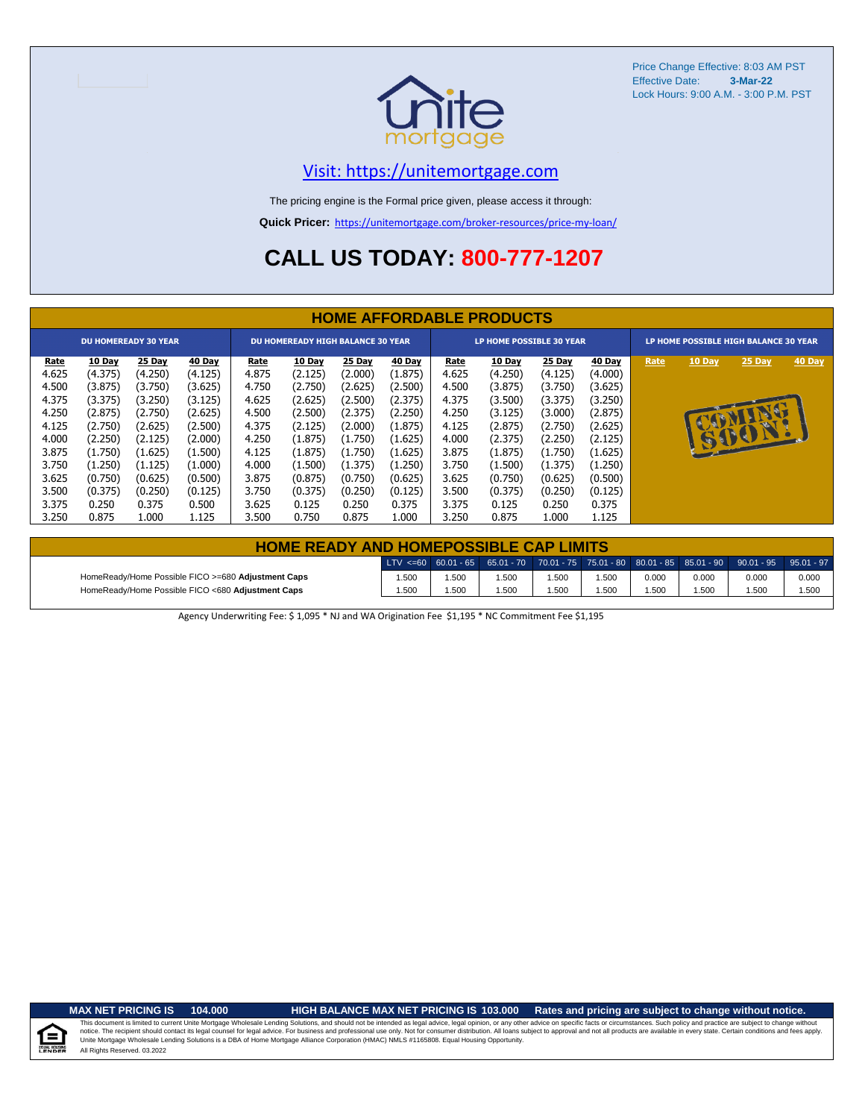

### [V](https://unitemortgage.com/)isit: https://unitemortgage.com

The pricing engine is the Formal price given, please access it through:

**Quick Pricer:** [https://un](https://unitemortgage.com/broker-resources/price-my-loan/)itemortgage.com/broker-resources/price-my-loan/

# **CALL US TODAY: 800-777-1207**

|                                                                                                                  | <b>HOME AFFORDABLE PRODUCTS</b>                                                                                                        |                                                                                                                                        |                                                                                                                                        |                                                                                                                  |                                                                                                                                        |                                                                                                                                        |                                                                                                                                        |                                                                                                                         |                                                                                                                                        |                                                                                                                                        |                                                                                                                                        |                                       |        |                                      |        |
|------------------------------------------------------------------------------------------------------------------|----------------------------------------------------------------------------------------------------------------------------------------|----------------------------------------------------------------------------------------------------------------------------------------|----------------------------------------------------------------------------------------------------------------------------------------|------------------------------------------------------------------------------------------------------------------|----------------------------------------------------------------------------------------------------------------------------------------|----------------------------------------------------------------------------------------------------------------------------------------|----------------------------------------------------------------------------------------------------------------------------------------|-------------------------------------------------------------------------------------------------------------------------|----------------------------------------------------------------------------------------------------------------------------------------|----------------------------------------------------------------------------------------------------------------------------------------|----------------------------------------------------------------------------------------------------------------------------------------|---------------------------------------|--------|--------------------------------------|--------|
| <b>DU HOMEREADY 30 YEAR</b>                                                                                      |                                                                                                                                        |                                                                                                                                        |                                                                                                                                        | <b>DU HOMEREADY HIGH BALANCE 30 YEAR</b>                                                                         |                                                                                                                                        |                                                                                                                                        |                                                                                                                                        | <b>LP HOME POSSIBLE 30 YEAR</b>                                                                                         |                                                                                                                                        |                                                                                                                                        |                                                                                                                                        | LP HOME POSSIBLE HIGH BALANCE 30 YEAR |        |                                      |        |
| Rate<br>4.625<br>4.500<br>4.375<br>4.250<br>4.125<br>4.000<br>3.875<br>3.750<br>3.625<br>3.500<br>3.375<br>3.250 | 10 Day<br>(4.375)<br>(3.875)<br>(3.375)<br>(2.875)<br>(2.750)<br>(2.250)<br>(1.750)<br>(1.250)<br>(0.750)<br>(0.375)<br>0.250<br>0.875 | 25 Day<br>(4.250)<br>(3.750)<br>(3.250)<br>(2.750)<br>(2.625)<br>(2.125)<br>(1.625)<br>(1.125)<br>(0.625)<br>(0.250)<br>0.375<br>1.000 | 40 Day<br>(4.125)<br>(3.625)<br>(3.125)<br>(2.625)<br>(2.500)<br>(2.000)<br>(1.500)<br>(1.000)<br>(0.500)<br>(0.125)<br>0.500<br>1.125 | Rate<br>4.875<br>4.750<br>4.625<br>4.500<br>4.375<br>4.250<br>4.125<br>4.000<br>3.875<br>3.750<br>3.625<br>3.500 | 10 Day<br>(2.125)<br>(2.750)<br>(2.625)<br>(2.500)<br>(2.125)<br>(1.875)<br>(1.875)<br>(1.500)<br>(0.875)<br>(0.375)<br>0.125<br>0.750 | 25 Day<br>(2.000)<br>(2.625)<br>(2.500)<br>(2.375)<br>(2.000)<br>(1.750)<br>(1.750)<br>(1.375)<br>(0.750)<br>(0.250)<br>0.250<br>0.875 | 40 Day<br>(1.875)<br>(2.500)<br>(2.375)<br>(2.250)<br>(1.875)<br>(1.625)<br>(1.625)<br>(1.250)<br>(0.625)<br>(0.125)<br>0.375<br>1.000 | <b>Rate</b><br>4.625<br>4.500<br>4.375<br>4.250<br>4.125<br>4.000<br>3.875<br>3.750<br>3.625<br>3.500<br>3.375<br>3.250 | 10 Day<br>(4.250)<br>(3.875)<br>(3.500)<br>(3.125)<br>(2.875)<br>(2.375)<br>(1.875)<br>(1.500)<br>(0.750)<br>(0.375)<br>0.125<br>0.875 | 25 Day<br>(4.125)<br>(3.750)<br>(3.375)<br>(3.000)<br>(2.750)<br>(2.250)<br>(1.750)<br>(1.375)<br>(0.625)<br>(0.250)<br>0.250<br>1.000 | 40 Day<br>(4.000)<br>(3.625)<br>(3.250)<br>(2.875)<br>(2.625)<br>(2.125)<br>(1.625)<br>(1.250)<br>(0.500)<br>(0.125)<br>0.375<br>1.125 | Rate                                  | 10 Day | <b>25 Day</b><br><b>MO</b><br>15001. | 40 Day |

| <b>HOME READY AND HOMEPOSSIBLE CAP LIMITS</b>      |       |      |       |       |      |       |       |                                                                                                  |       |  |  |  |  |
|----------------------------------------------------|-------|------|-------|-------|------|-------|-------|--------------------------------------------------------------------------------------------------|-------|--|--|--|--|
|                                                    |       |      |       |       |      |       |       | LTV <=60 60.01 - 65 65.01 - 70 70.01 - 75 75.01 - 80 80.01 - 85 85.01 - 90 90.01 - 95 95.01 - 97 |       |  |  |  |  |
| HomeReady/Home Possible FICO >=680 Adjustment Caps | 1.500 | .500 | .500  | 1.500 | .500 | 0.000 | 0.000 | 0.000                                                                                            | 0.000 |  |  |  |  |
| HomeReady/Home Possible FICO <680 Adjustment Caps  | 1.500 | .500 | 1.500 | 1.500 | .500 | 1.500 | 1.500 | .500                                                                                             | 1.500 |  |  |  |  |

Agency Underwriting Fee: \$ 1,095 \* NJ and WA Origination Fee \$1,195 \* NC Commitment Fee \$1,195

#### **MAX NET PRICING IS 104.000 HIGH BALANCE MAX NET PRICING IS 103.000 Rates and pricing are subject to change without notice.**

All Rights Reserved. 03.2022 This document is limited to current Unite Mortgage Wholesale Lending Solutions, and should not be intended as legal advice, legal opinion, or any other advice on specific facts or circumstances. Such policy and practice ar notice. The recipient should contact its legal coursel for legal advice. For business and professional use only. Not for consumer distribution. All oans subject to approval and not all products are available in every state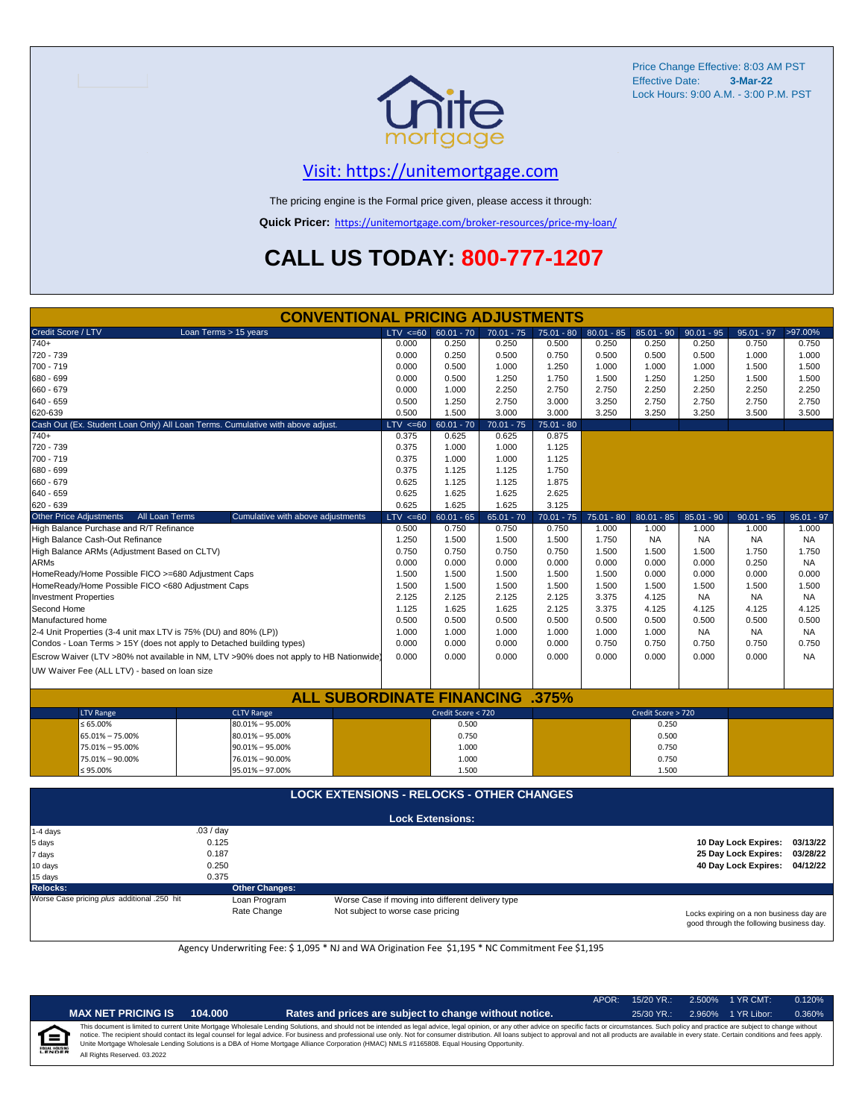

Locks expiring on a non business day are good through the following business day.

### [V](https://unitemortgage.com/)isit: https://unitemortgage.com

The pricing engine is the Formal price given, please access it through:

**Quick Pricer:** [https://un](https://unitemortgage.com/broker-resources/price-my-loan/)itemortgage.com/broker-resources/price-my-loan/

# **CALL US TODAY: 800-777-1207**

| <b>CONVENTIONAL PRICING ADJUSTMENTS</b>                                                |                       |                                                  |                                                   |                    |              |              |              |                      |              |                      |              |
|----------------------------------------------------------------------------------------|-----------------------|--------------------------------------------------|---------------------------------------------------|--------------------|--------------|--------------|--------------|----------------------|--------------|----------------------|--------------|
| Credit Score / LTV                                                                     | Loan Terms > 15 years |                                                  | LTV < 60                                          | $60.01 - 70$       | $70.01 - 75$ | 75.01 - 80   | $80.01 - 85$ | $85.01 - 90$         | $90.01 - 95$ | $95.01 - 97$         | >97.00%      |
| $740+$                                                                                 |                       |                                                  | 0.000                                             | 0.250              | 0.250        | 0.500        | 0.250        | 0.250                | 0.250        | 0.750                | 0.750        |
| 720 - 739                                                                              |                       | 0.000                                            | 0.250                                             | 0.500              | 0.750        | 0.500        | 0.500        | 0.500                | 1.000        | 1.000                |              |
| 700 - 719                                                                              |                       | 0.000                                            | 0.500                                             | 1.000              | 1.250        | 1.000        | 1.000        | 1.000                | 1.500        | 1.500                |              |
| 680 - 699                                                                              |                       |                                                  | 0.000                                             | 0.500              | 1.250        | 1.750        | 1.500        | 1.250                | 1.250        | 1.500                | 1.500        |
| 660 - 679                                                                              |                       |                                                  | 0.000                                             | 1.000              | 2.250        | 2.750        | 2.750        | 2.250                | 2.250        | 2.250                | 2.250        |
| 640 - 659                                                                              |                       |                                                  | 0.500                                             | 1.250              | 2.750        | 3.000        | 3.250        | 2.750                | 2.750        | 2.750                | 2.750        |
| 620-639                                                                                |                       |                                                  | 0.500                                             | 1.500              | 3.000        | 3.000        | 3.250        | 3.250                | 3.250        | 3.500                | 3.500        |
| Cash Out (Ex. Student Loan Only) All Loan Terms. Cumulative with above adjust.         |                       |                                                  | $LTV < =60$                                       | $60.01 - 70$       | $70.01 - 75$ | $75.01 - 80$ |              |                      |              |                      |              |
| $740+$                                                                                 |                       |                                                  | 0.375                                             | 0.625              | 0.625        | 0.875        |              |                      |              |                      |              |
| 720 - 739                                                                              |                       |                                                  | 0.375                                             | 1.000              | 1.000        | 1.125        |              |                      |              |                      |              |
| 700 - 719                                                                              |                       |                                                  | 0.375                                             | 1.000              | 1.000        | 1.125        |              |                      |              |                      |              |
| 680 - 699                                                                              |                       |                                                  | 0.375                                             | 1.125              | 1.125        | 1.750        |              |                      |              |                      |              |
| 660 - 679                                                                              |                       |                                                  | 0.625                                             | 1.125              | 1.125        | 1.875        |              |                      |              |                      |              |
| 640 - 659                                                                              |                       |                                                  | 0.625                                             | 1.625              | 1.625        | 2.625        |              |                      |              |                      |              |
| 620 - 639                                                                              |                       |                                                  | 0.625                                             | 1.625              | 1.625        | 3.125        |              |                      |              |                      |              |
| <b>Other Price Adjustments</b>                                                         | All Loan Terms        | Cumulative with above adjustments                | $LTV < =60$                                       | $60.01 - 65$       | $65.01 - 70$ | $70.01 - 75$ | $75.01 - 80$ | $80.01 - 85$         | $85.01 - 90$ | $90.01 - 95$         | $95.01 - 97$ |
| High Balance Purchase and R/T Refinance                                                |                       |                                                  | 0.500                                             | 0.750              | 0.750        | 0.750        | 1.000        | 1.000                | 1.000        | 1.000                | 1.000        |
| High Balance Cash-Out Refinance                                                        |                       |                                                  | 1.250                                             | 1.500              | 1.500        | 1.500        | 1.750        | <b>NA</b>            | <b>NA</b>    | <b>NA</b>            | <b>NA</b>    |
| High Balance ARMs (Adjustment Based on CLTV)                                           |                       |                                                  | 0.750                                             | 0.750              | 0.750        | 0.750        | 1.500        | 1.500                | 1.500        | 1.750                | 1.750        |
| <b>ARMs</b>                                                                            |                       |                                                  | 0.000                                             | 0.000              | 0.000        | 0.000        | 0.000        | 0.000                | 0.000        | 0.250                | <b>NA</b>    |
| HomeReady/Home Possible FICO >=680 Adjustment Caps                                     |                       |                                                  | 1.500                                             | 1.500              | 1.500        | 1.500        | 1.500        | 0.000                | 0.000        | 0.000                | 0.000        |
| HomeReady/Home Possible FICO <680 Adjustment Caps                                      |                       |                                                  | 1.500                                             | 1.500              | 1.500        | 1.500        | 1.500        | 1.500                | 1.500        | 1.500                | 1.500        |
| <b>Investment Properties</b>                                                           |                       |                                                  | 2.125                                             | 2.125              | 2.125        | 2.125        | 3.375        | 4.125                | <b>NA</b>    | <b>NA</b>            | NA           |
| Second Home                                                                            |                       |                                                  | 1.125                                             | 1.625              | 1.625        | 2.125        | 3.375        | 4.125                | 4.125        | 4.125                | 4.125        |
| Manufactured home                                                                      |                       |                                                  | 0.500                                             | 0.500              | 0.500        | 0.500        | 0.500        | 0.500                | 0.500        | 0.500                | 0.500        |
| 2-4 Unit Properties (3-4 unit max LTV is 75% (DU) and 80% (LP))                        |                       |                                                  | 1.000                                             | 1.000              | 1.000        | 1.000        | 1.000        | 1.000                | <b>NA</b>    | <b>NA</b>            | <b>NA</b>    |
| Condos - Loan Terms > 15Y (does not apply to Detached building types)                  |                       |                                                  | 0.000                                             | 0.000              | 0.000        | 0.000        | 0.750        | 0.750                | 0.750        | 0.750                | 0.750        |
| Escrow Waiver (LTV >80% not available in NM, LTV >90% does not apply to HB Nationwide) |                       |                                                  | 0.000                                             | 0.000              | 0.000        | 0.000        | 0.000        | 0.000                | 0.000        | 0.000                | <b>NA</b>    |
|                                                                                        |                       |                                                  |                                                   |                    |              |              |              |                      |              |                      |              |
| UW Waiver Fee (ALL LTV) - based on loan size                                           |                       |                                                  |                                                   |                    |              |              |              |                      |              |                      |              |
|                                                                                        |                       | <b>ALL SUBORDINATE FINANCING</b>                 |                                                   |                    |              | $.375\%$     |              |                      |              |                      |              |
| <b>LTV Range</b>                                                                       |                       | <b>CLTV Range</b>                                |                                                   | Credit Score < 720 |              |              |              | Credit Score > 720   |              |                      |              |
| $\leq 65.00\%$                                                                         |                       | $80.01\% - 95.00\%$                              |                                                   | 0.500              |              |              |              | 0.250                |              |                      |              |
| 65.01% - 75.00%                                                                        |                       | $80.01\% - 95.00\%$                              |                                                   | 0.750              |              |              |              | 0.500                |              |                      |              |
| 75.01% - 95.00%                                                                        |                       | $90.01\% - 95.00\%$                              |                                                   | 1.000              |              |              |              | 0.750                |              |                      |              |
| 75.01% - 90.00%                                                                        | 76.01% - 90.00%       |                                                  |                                                   |                    |              |              |              | 0.750                |              |                      |              |
| ≤ 95.00%                                                                               | 95.01% - 97.00%       |                                                  | 1.000<br>1.500                                    |                    |              |              | 1.500        |                      |              |                      |              |
|                                                                                        |                       |                                                  |                                                   |                    |              |              |              |                      |              |                      |              |
|                                                                                        |                       | <b>LOCK EXTENSIONS - RELOCKS - OTHER CHANGES</b> |                                                   |                    |              |              |              |                      |              |                      |              |
| <b>Lock Extensions:</b>                                                                |                       |                                                  |                                                   |                    |              |              |              |                      |              |                      |              |
| 1-4 days                                                                               | .03/day<br>0.125      |                                                  |                                                   |                    |              |              |              |                      |              |                      |              |
| 5 days                                                                                 |                       |                                                  |                                                   |                    |              |              |              | 10 Day Lock Expires: | 03/13/22     |                      |              |
| 7 days                                                                                 |                       |                                                  |                                                   |                    |              |              |              | 25 Day Lock Expires: | 03/28/22     |                      |              |
| 10 days                                                                                | 0.250                 |                                                  |                                                   |                    |              |              |              |                      |              | 40 Day Lock Expires: | 04/12/22     |
| 15 days                                                                                | 0.375                 |                                                  |                                                   |                    |              |              |              |                      |              |                      |              |
| Relocks:                                                                               |                       | <b>Other Changes:</b>                            |                                                   |                    |              |              |              |                      |              |                      |              |
| Worse Case pricing plus additional .250 hit                                            |                       | Loan Program                                     | Worse Case if moving into different delivery type |                    |              |              |              |                      |              |                      |              |

Agency Underwriting Fee: \$ 1,095 \* NJ and WA Origination Fee \$1,195 \* NC Commitment Fee \$1,195

Rate Change Not subject to worse case pricing

|   |                              |         |                                                                                                                                                                                                                                                                                                                                                                                                                                                                                                                                                                                                                | APOR: | $15/20$ YR.: | 2.500% 1 YR CMT:   | 0.120% |
|---|------------------------------|---------|----------------------------------------------------------------------------------------------------------------------------------------------------------------------------------------------------------------------------------------------------------------------------------------------------------------------------------------------------------------------------------------------------------------------------------------------------------------------------------------------------------------------------------------------------------------------------------------------------------------|-------|--------------|--------------------|--------|
|   | <b>MAX NET PRICING IS</b>    | 104.000 | Rates and prices are subject to change without notice.                                                                                                                                                                                                                                                                                                                                                                                                                                                                                                                                                         |       | $25/30$ YR.: | 2.960% 1 YR Libor: | 0.360% |
| 自 | All Rights Reserved. 03.2022 |         | This document is limited to current Unite Mortgage Wholesale Lending Solutions, and should not be intended as legal advice, legal opinion, or any other advice on specific facts or circumstances. Such policy and practice ar<br>notice. The recipient should contact its legal counsel for legal advice. For business and professional use only. Not for consumer distribution. All loans subject to approval and not all products are available in every stat<br>Unite Mortgage Wholesale Lending Solutions is a DBA of Home Mortgage Alliance Corporation (HMAC) NMLS #1165808. Equal Housing Opportunity. |       |              |                    |        |